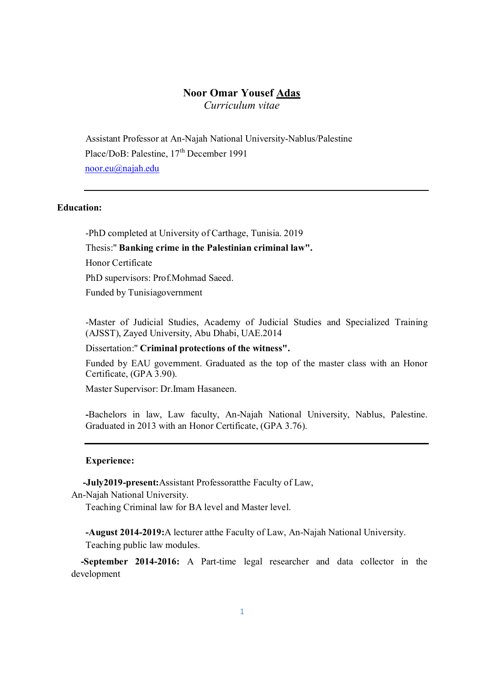## **Noor Omar Yousef Adas**

*Curriculum vitae*

Assistant Professor at An-Najah National University-Nablus/Palestine Place/DoB: Palestine, 17<sup>th</sup> December 1991 noor.eu@najah.edu

## **Education:**

-PhD completed at University of Carthage, Tunisia. 2019

#### Thesis:" **Banking crime in the Palestinian criminal law".**

Honor Certificate

PhD supervisors: Prof.Mohmad Saeed.

Funded by Tunisiagovernment

-Master of Judicial Studies, Academy of Judicial Studies and Specialized Training (AJSST), Zayed University, Abu Dhabi, UAE.2014

## Dissertation:" **Criminal protections of the witness".**

Funded by EAU government. Graduated as the top of the master class with an Honor Certificate, (GPA 3.90).

Master Supervisor: Dr.Imam Hasaneen.

**-**Bachelors in law, Law faculty, An-Najah National University, Nablus, Palestine. Graduated in 2013 with an Honor Certificate, (GPA 3.76).

#### **Experience:**

**-July2019-present:**Assistant Professoratthe Faculty of Law, An-Najah National University.

Teaching Criminal law for BA level and Master level.

**-August 2014-2019:**A lecturer atthe Faculty of Law, An-Najah National University. Teaching public law modules.

**-September 2014-2016:** A Part-time legal researcher and data collector in the development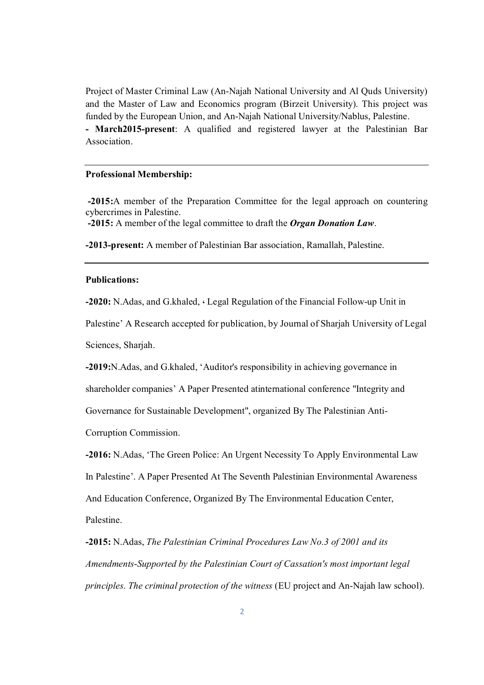Project of Master Criminal Law (An-Najah National University and Al Quds University) and the Master of Law and Economics program (Birzeit University). This project was funded by the European Union, and An-Najah National University/Nablus, Palestine.

**- March2015-present**: A qualified and registered lawyer at the Palestinian Bar **Association** 

#### **Professional Membership:**

**-2015:**A member of the Preparation Committee for the legal approach on countering cybercrimes in Palestine.

**-2015:** A member of the legal committee to draft the *Organ Donation Law*.

**-2013-present:** A member of Palestinian Bar association, Ramallah, Palestine.

#### **Publications:**

**-2020:** N.Adas, and G.khaled, **،** Legal Regulation of the Financial Follow-up Unit in

Palestine' A Research accepted for publication, by Journal of Sharjah University of Legal Sciences, Sharjah.

**-2019:**N.Adas, and G.khaled, 'Auditor's responsibility in achieving governance in

shareholder companies' A Paper Presented atinternational conference "Integrity and

Governance for Sustainable Development", organized By The Palestinian Anti-

Corruption Commission.

**-2016:** N.Adas, 'The Green Police: An Urgent Necessity To Apply Environmental Law In Palestine'. A Paper Presented At The Seventh Palestinian Environmental Awareness And Education Conference, Organized By The Environmental Education Center, Palestine.

**-2015:** N.Adas, *The Palestinian Criminal Procedures Law No.3 of 2001 and its Amendments*-*Supported by the Palestinian Court of Cassation's most important legal principles. The criminal protection of the witness* (EU project and An-Najah law school).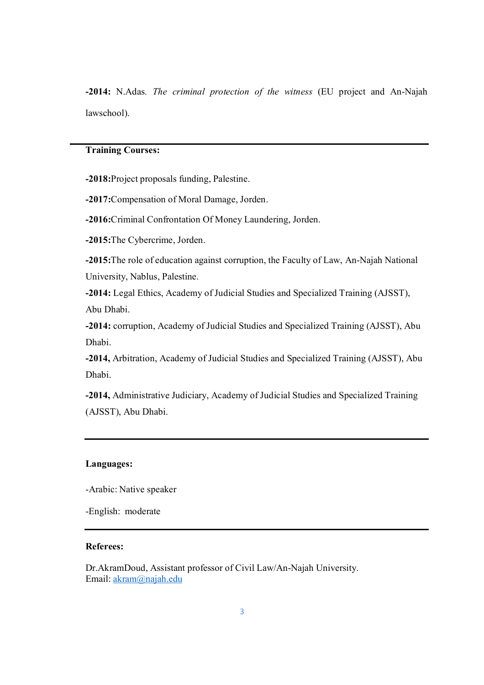**-2014:** N.Adas*. The criminal protection of the witness* (EU project and An-Najah lawschool).

# **Training Courses:**

**-2018:**Project proposals funding, Palestine.

**-2017:**Compensation of Moral Damage, Jorden.

**-2016:**Criminal Confrontation Of Money Laundering, Jorden.

**-2015:**The Cybercrime, Jorden.

**-2015:**The role of education against corruption, the Faculty of Law, An-Najah National University, Nablus, Palestine.

**-2014:** Legal Ethics, Academy of Judicial Studies and Specialized Training (AJSST), Abu Dhabi.

**-2014:** corruption, Academy of Judicial Studies and Specialized Training (AJSST), Abu Dhabi.

**-2014,** Arbitration, Academy of Judicial Studies and Specialized Training (AJSST), Abu Dhabi.

**-2014,** Administrative Judiciary, Academy of Judicial Studies and Specialized Training (AJSST), Abu Dhabi.

### **Languages:**

-Arabic: Native speaker

-English: moderate

### **Referees:**

Dr.AkramDoud, Assistant professor of Civil Law/An-Najah University. Email: akram@najah.edu